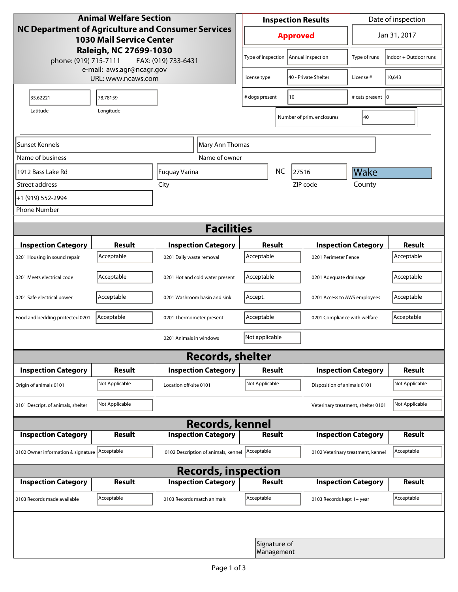| <b>Animal Welfare Section</b><br><b>NC Department of Agriculture and Consumer Services</b><br><b>1030 Mail Service Center</b><br>Raleigh, NC 27699-1030<br>phone: (919) 715-7111<br>FAX: (919) 733-6431 |                                                 |                                     | <b>Inspection Results</b>               |                            |                                    | Date of inspection         |                       |  |
|---------------------------------------------------------------------------------------------------------------------------------------------------------------------------------------------------------|-------------------------------------------------|-------------------------------------|-----------------------------------------|----------------------------|------------------------------------|----------------------------|-----------------------|--|
|                                                                                                                                                                                                         |                                                 |                                     |                                         | <b>Approved</b>            |                                    |                            | Jan 31, 2017          |  |
|                                                                                                                                                                                                         |                                                 |                                     | Type of inspection                      |                            | Annual inspection                  | Type of runs               | Indoor + Outdoor runs |  |
|                                                                                                                                                                                                         | e-mail: aws.agr@ncagr.gov<br>URL: www.ncaws.com |                                     | license type                            |                            | 40 - Private Shelter               | License #                  | 10,643                |  |
| 35.62221                                                                                                                                                                                                | 78.78159                                        |                                     | # dogs present                          | 10                         |                                    | # cats present   0         |                       |  |
| Latitude                                                                                                                                                                                                | Longitude                                       |                                     |                                         |                            | Number of prim. enclosures         | 40                         |                       |  |
| Sunset Kennels                                                                                                                                                                                          |                                                 | Mary Ann Thomas                     |                                         |                            |                                    |                            |                       |  |
| Name of business                                                                                                                                                                                        |                                                 | Name of owner                       |                                         |                            |                                    |                            |                       |  |
| 1912 Bass Lake Rd                                                                                                                                                                                       |                                                 | Fuquay Varina                       |                                         | NC                         | 27516                              | Wake                       |                       |  |
| Street address                                                                                                                                                                                          |                                                 | City                                |                                         |                            | ZIP code                           | County                     |                       |  |
| +1 (919) 552-2994                                                                                                                                                                                       |                                                 |                                     |                                         |                            |                                    |                            |                       |  |
| <b>Phone Number</b>                                                                                                                                                                                     |                                                 |                                     |                                         |                            |                                    |                            |                       |  |
| <b>Facilities</b>                                                                                                                                                                                       |                                                 |                                     |                                         |                            |                                    |                            |                       |  |
| <b>Inspection Category</b>                                                                                                                                                                              | <b>Result</b>                                   | <b>Inspection Category</b>          | Result                                  |                            |                                    | <b>Inspection Category</b> | <b>Result</b>         |  |
| 0201 Housing in sound repair                                                                                                                                                                            | Acceptable                                      | 0201 Daily waste removal            | Acceptable                              |                            | 0201 Perimeter Fence               |                            | Acceptable            |  |
| 0201 Meets electrical code                                                                                                                                                                              | Acceptable                                      | 0201 Hot and cold water present     | Acceptable                              | 0201 Adequate drainage     |                                    |                            | Acceptable            |  |
| 0201 Safe electrical power                                                                                                                                                                              | Acceptable                                      | 0201 Washroom basin and sink        | Accept.<br>0201 Access to AWS employees |                            |                                    | Acceptable                 |                       |  |
| Food and bedding protected 0201                                                                                                                                                                         | Acceptable                                      | 0201 Thermometer present            | Acceptable                              |                            | 0201 Compliance with welfare       |                            | Acceptable            |  |
|                                                                                                                                                                                                         |                                                 | 0201 Animals in windows             | Not applicable                          |                            |                                    |                            |                       |  |
| <b>Records, shelter</b>                                                                                                                                                                                 |                                                 |                                     |                                         |                            |                                    |                            |                       |  |
| <b>Inspection Category</b>                                                                                                                                                                              | <b>Result</b>                                   | <b>Inspection Category</b>          | Result                                  |                            |                                    | <b>Inspection Category</b> | <b>Result</b>         |  |
| Origin of animals 0101                                                                                                                                                                                  | Not Applicable                                  | Location off-site 0101              | Not Applicable                          |                            | Disposition of animals 0101        |                            | Not Applicable        |  |
| 0101 Descript. of animals, shelter                                                                                                                                                                      | Not Applicable                                  |                                     |                                         |                            | Veterinary treatment, shelter 0101 |                            | Not Applicable        |  |
| <b>Records, kennel</b>                                                                                                                                                                                  |                                                 |                                     |                                         |                            |                                    |                            |                       |  |
| <b>Inspection Category</b>                                                                                                                                                                              | Result                                          | <b>Inspection Category</b>          | <b>Result</b>                           |                            |                                    | <b>Inspection Category</b> | Result                |  |
| 0102 Owner information & signature Acceptable                                                                                                                                                           |                                                 | 0102 Description of animals, kennel | Acceptable                              |                            | 0102 Veterinary treatment, kennel  |                            | Acceptable            |  |
| <b>Records, inspection</b>                                                                                                                                                                              |                                                 |                                     |                                         |                            |                                    |                            |                       |  |
| <b>Inspection Category</b>                                                                                                                                                                              | <b>Result</b>                                   | <b>Inspection Category</b>          | Result                                  |                            |                                    | <b>Inspection Category</b> | Result                |  |
| 0103 Records made available                                                                                                                                                                             | Acceptable                                      | 0103 Records match animals          | Acceptable                              |                            | 0103 Records kept 1+ year          |                            | Acceptable            |  |
|                                                                                                                                                                                                         |                                                 |                                     |                                         |                            |                                    |                            |                       |  |
|                                                                                                                                                                                                         |                                                 |                                     |                                         | Signature of<br>Management |                                    |                            |                       |  |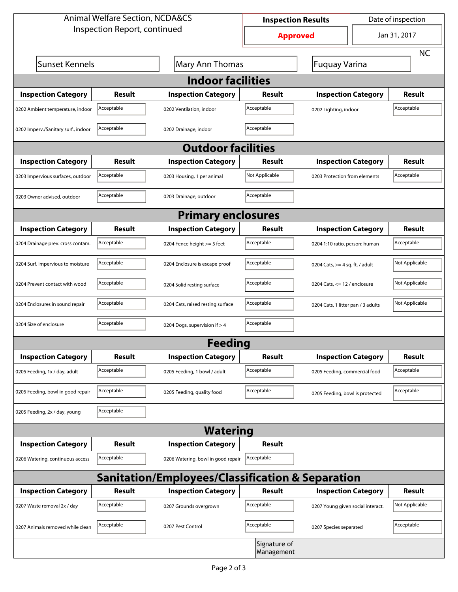| <b>Animal Welfare Section, NCDA&amp;CS</b>                  |               |                                    | <b>Inspection Results</b> |                                     | Date of inspection                 |                |  |  |
|-------------------------------------------------------------|---------------|------------------------------------|---------------------------|-------------------------------------|------------------------------------|----------------|--|--|
| Inspection Report, continued                                |               |                                    | <b>Approved</b>           |                                     | Jan 31, 2017                       |                |  |  |
|                                                             |               |                                    |                           |                                     |                                    | <b>NC</b>      |  |  |
| Sunset Kennels                                              |               | Mary Ann Thomas                    |                           | Fuquay Varina                       |                                    |                |  |  |
| <b>Indoor facilities</b>                                    |               |                                    |                           |                                     |                                    |                |  |  |
| <b>Inspection Category</b>                                  | Result        | <b>Inspection Category</b>         | Result                    | <b>Inspection Category</b>          |                                    | Result         |  |  |
| 0202 Ambient temperature, indoor                            | Acceptable    | 0202 Ventilation, indoor           | Acceptable                | Acceptable<br>0202 Lighting, indoor |                                    |                |  |  |
| 0202 Imperv./Sanitary surf., indoor                         | Acceptable    | 0202 Drainage, indoor              | Acceptable                |                                     |                                    |                |  |  |
| <b>Outdoor facilities</b>                                   |               |                                    |                           |                                     |                                    |                |  |  |
| <b>Inspection Category</b>                                  | Result        | <b>Inspection Category</b>         | <b>Result</b>             | <b>Inspection Category</b>          |                                    | Result         |  |  |
| 0203 Impervious surfaces, outdoor                           | Acceptable    | 0203 Housing, 1 per animal         | Not Applicable            | 0203 Protection from elements       |                                    | Acceptable     |  |  |
| 0203 Owner advised, outdoor                                 | Acceptable    | 0203 Drainage, outdoor             | Acceptable                |                                     |                                    |                |  |  |
| <b>Primary enclosures</b>                                   |               |                                    |                           |                                     |                                    |                |  |  |
| <b>Inspection Category</b>                                  | Result        | <b>Inspection Category</b>         | Result                    | <b>Inspection Category</b>          |                                    | <b>Result</b>  |  |  |
| 0204 Drainage prev. cross contam.                           | Acceptable    | 0204 Fence height >= 5 feet        | Acceptable                | 0204 1:10 ratio, person: human      |                                    | Acceptable     |  |  |
| 0204 Surf. impervious to moisture                           | Acceptable    | 0204 Enclosure is escape proof     | Acceptable                | 0204 Cats, $>=$ 4 sq. ft. / adult   |                                    | Not Applicable |  |  |
| 0204 Prevent contact with wood                              | Acceptable    | 0204 Solid resting surface         | Acceptable                |                                     | 0204 Cats, $<= 12$ / enclosure     |                |  |  |
| 0204 Enclosures in sound repair                             | Acceptable    | 0204 Cats, raised resting surface  | Acceptable                |                                     | 0204 Cats, 1 litter pan / 3 adults |                |  |  |
| 0204 Size of enclosure                                      | Acceptable    | 0204 Dogs, supervision if > 4      | Acceptable                |                                     |                                    |                |  |  |
| <b>Feeding</b>                                              |               |                                    |                           |                                     |                                    |                |  |  |
| <b>Inspection Category</b>                                  | <b>Result</b> | <b>Inspection Category</b>         | <b>Result</b>             | <b>Inspection Category</b>          |                                    | <b>Result</b>  |  |  |
| 0205 Feeding, 1x / day, adult                               | Acceptable    | 0205 Feeding, 1 bowl / adult       | Acceptable                | 0205 Feeding, commercial food       |                                    | Acceptable     |  |  |
| 0205 Feeding, bowl in good repair                           | Acceptable    | 0205 Feeding, quality food         | Acceptable                | 0205 Feeding, bowl is protected     |                                    | Acceptable     |  |  |
| 0205 Feeding, 2x / day, young                               | Acceptable    |                                    |                           |                                     |                                    |                |  |  |
| <b>Watering</b>                                             |               |                                    |                           |                                     |                                    |                |  |  |
| <b>Inspection Category</b>                                  | <b>Result</b> | <b>Inspection Category</b>         | <b>Result</b>             |                                     |                                    |                |  |  |
| 0206 Watering, continuous access                            | Acceptable    | 0206 Watering, bowl in good repair | Acceptable                |                                     |                                    |                |  |  |
| <b>Sanitation/Employees/Classification &amp; Separation</b> |               |                                    |                           |                                     |                                    |                |  |  |
| <b>Inspection Category</b>                                  | <b>Result</b> | <b>Inspection Category</b>         | Result                    | <b>Inspection Category</b>          |                                    | <b>Result</b>  |  |  |
| 0207 Waste removal 2x / day                                 | Acceptable    | 0207 Grounds overgrown             | Acceptable                | 0207 Young given social interact.   |                                    | Not Applicable |  |  |
| 0207 Animals removed while clean                            | Acceptable    | 0207 Pest Control                  | Acceptable                | 0207 Species separated              |                                    | Acceptable     |  |  |
| Signature of<br>Management                                  |               |                                    |                           |                                     |                                    |                |  |  |